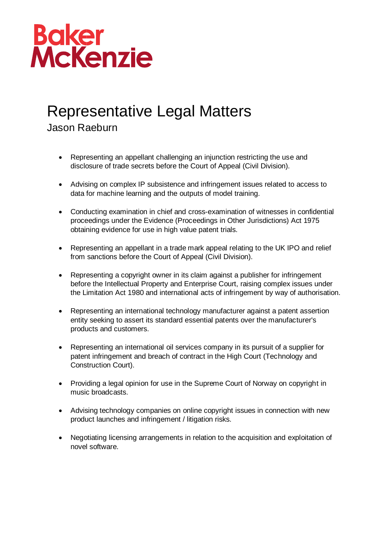

## Representative Legal Matters

Jason Raeburn

- Representing an appellant challenging an injunction restricting the use and disclosure of trade secrets before the Court of Appeal (Civil Division).
- Advising on complex IP subsistence and infringement issues related to access to data for machine learning and the outputs of model training.
- Conducting examination in chief and cross-examination of witnesses in confidential proceedings under the Evidence (Proceedings in Other Jurisdictions) Act 1975 obtaining evidence for use in high value patent trials.
- Representing an appellant in a trade mark appeal relating to the UK IPO and relief from sanctions before the Court of Appeal (Civil Division).
- Representing a copyright owner in its claim against a publisher for infringement before the Intellectual Property and Enterprise Court, raising complex issues under the Limitation Act 1980 and international acts of infringement by way of authorisation.
- Representing an international technology manufacturer against a patent assertion entity seeking to assert its standard essential patents over the manufacturer's products and customers.
- Representing an international oil services company in its pursuit of a supplier for patent infringement and breach of contract in the High Court (Technology and Construction Court).
- Providing a legal opinion for use in the Supreme Court of Norway on copyright in music broadcasts.
- Advising technology companies on online copyright issues in connection with new product launches and infringement / litigation risks.
- Negotiating licensing arrangements in relation to the acquisition and exploitation of novel software.